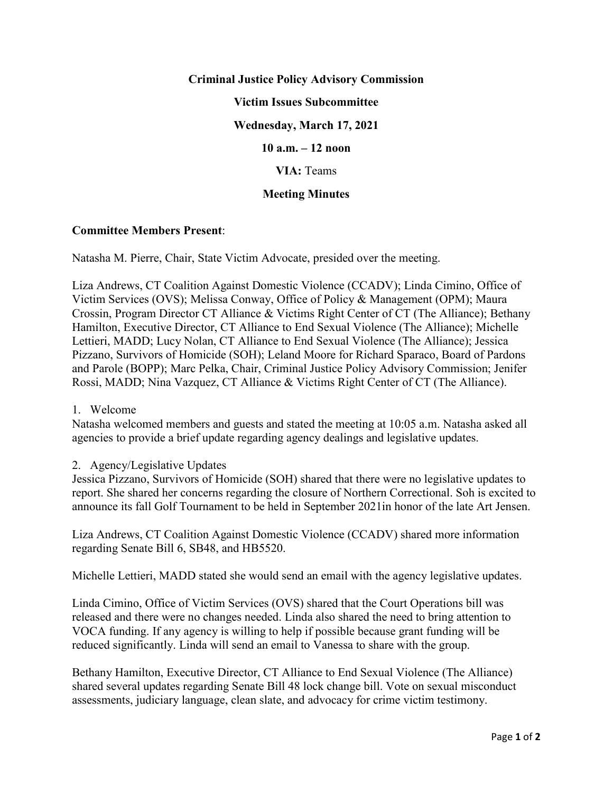# **Criminal Justice Policy Advisory Commission Victim Issues Subcommittee Wednesday, March 17, 2021 10 a.m. – 12 noon VIA:** Teams

# **Meeting Minutes**

# **Committee Members Present**:

Natasha M. Pierre, Chair, State Victim Advocate, presided over the meeting.

Liza Andrews, CT Coalition Against Domestic Violence (CCADV); Linda Cimino, Office of Victim Services (OVS); Melissa Conway, Office of Policy & Management (OPM); Maura Crossin, Program Director CT Alliance & Victims Right Center of CT (The Alliance); Bethany Hamilton, Executive Director, CT Alliance to End Sexual Violence (The Alliance); Michelle Lettieri, MADD; Lucy Nolan, CT Alliance to End Sexual Violence (The Alliance); Jessica Pizzano, Survivors of Homicide (SOH); Leland Moore for Richard Sparaco, Board of Pardons and Parole (BOPP); Marc Pelka, Chair, Criminal Justice Policy Advisory Commission; Jenifer Rossi, MADD; Nina Vazquez, CT Alliance & Victims Right Center of CT (The Alliance).

### 1. Welcome

Natasha welcomed members and guests and stated the meeting at 10:05 a.m. Natasha asked all agencies to provide a brief update regarding agency dealings and legislative updates.

# 2. Agency/Legislative Updates

Jessica Pizzano, Survivors of Homicide (SOH) shared that there were no legislative updates to report. She shared her concerns regarding the closure of Northern Correctional. Soh is excited to announce its fall Golf Tournament to be held in September 2021in honor of the late Art Jensen.

Liza Andrews, CT Coalition Against Domestic Violence (CCADV) shared more information regarding Senate Bill 6, SB48, and HB5520.

Michelle Lettieri, MADD stated she would send an email with the agency legislative updates.

Linda Cimino, Office of Victim Services (OVS) shared that the Court Operations bill was released and there were no changes needed. Linda also shared the need to bring attention to VOCA funding. If any agency is willing to help if possible because grant funding will be reduced significantly. Linda will send an email to Vanessa to share with the group.

Bethany Hamilton, Executive Director, CT Alliance to End Sexual Violence (The Alliance) shared several updates regarding Senate Bill 48 lock change bill. Vote on sexual misconduct assessments, judiciary language, clean slate, and advocacy for crime victim testimony.